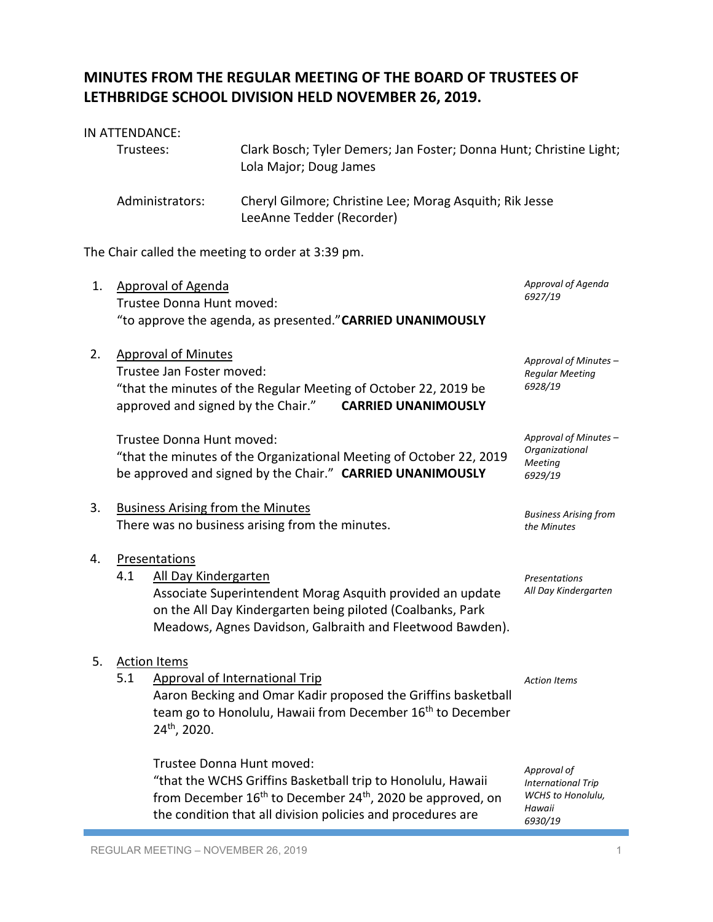## **MINUTES FROM THE REGULAR MEETING OF THE BOARD OF TRUSTEES OF LETHBRIDGE SCHOOL DIVISION HELD NOVEMBER 26, 2019.**

## IN ATTENDANCE:

| Trustees:       | Clark Bosch; Tyler Demers; Jan Foster; Donna Hunt; Christine Light;<br>Lola Major; Doug James |
|-----------------|-----------------------------------------------------------------------------------------------|
| Administrators: | Cheryl Gilmore; Christine Lee; Morag Asquith; Rik Jesse<br>LeeAnne Tedder (Recorder)          |

The Chair called the meeting to order at 3:39 pm.

| 1. | <b>Approval of Agenda</b><br>Trustee Donna Hunt moved:<br>"to approve the agenda, as presented." CARRIED UNANIMOUSLY                                                                                                                          | Approval of Agenda<br>6927/19                                                             |
|----|-----------------------------------------------------------------------------------------------------------------------------------------------------------------------------------------------------------------------------------------------|-------------------------------------------------------------------------------------------|
| 2. | <b>Approval of Minutes</b><br>Trustee Jan Foster moved:<br>"that the minutes of the Regular Meeting of October 22, 2019 be<br>approved and signed by the Chair."<br><b>CARRIED UNANIMOUSLY</b>                                                | Approval of Minutes -<br><b>Regular Meeting</b><br>6928/19                                |
|    | Trustee Donna Hunt moved:<br>"that the minutes of the Organizational Meeting of October 22, 2019<br>be approved and signed by the Chair." CARRIED UNANIMOUSLY                                                                                 | Approval of Minutes -<br>Organizational<br>Meeting<br>6929/19                             |
| 3. | <b>Business Arising from the Minutes</b><br>There was no business arising from the minutes.                                                                                                                                                   | <b>Business Arising from</b><br>the Minutes                                               |
| 4. | Presentations<br>4.1<br>All Day Kindergarten<br>Associate Superintendent Morag Asquith provided an update<br>on the All Day Kindergarten being piloted (Coalbanks, Park<br>Meadows, Agnes Davidson, Galbraith and Fleetwood Bawden).          | Presentations<br>All Day Kindergarten                                                     |
| 5. | <b>Action Items</b><br>5.1<br><b>Approval of International Trip</b><br>Aaron Becking and Omar Kadir proposed the Griffins basketball<br>team go to Honolulu, Hawaii from December 16 <sup>th</sup> to December<br>24th, 2020.                 | <b>Action Items</b>                                                                       |
|    | Trustee Donna Hunt moved:<br>"that the WCHS Griffins Basketball trip to Honolulu, Hawaii<br>from December 16 <sup>th</sup> to December 24 <sup>th</sup> , 2020 be approved, on<br>the condition that all division policies and procedures are | Approval of<br><b>International Trip</b><br><b>WCHS</b> to Honolulu,<br>Hawaii<br>6930/19 |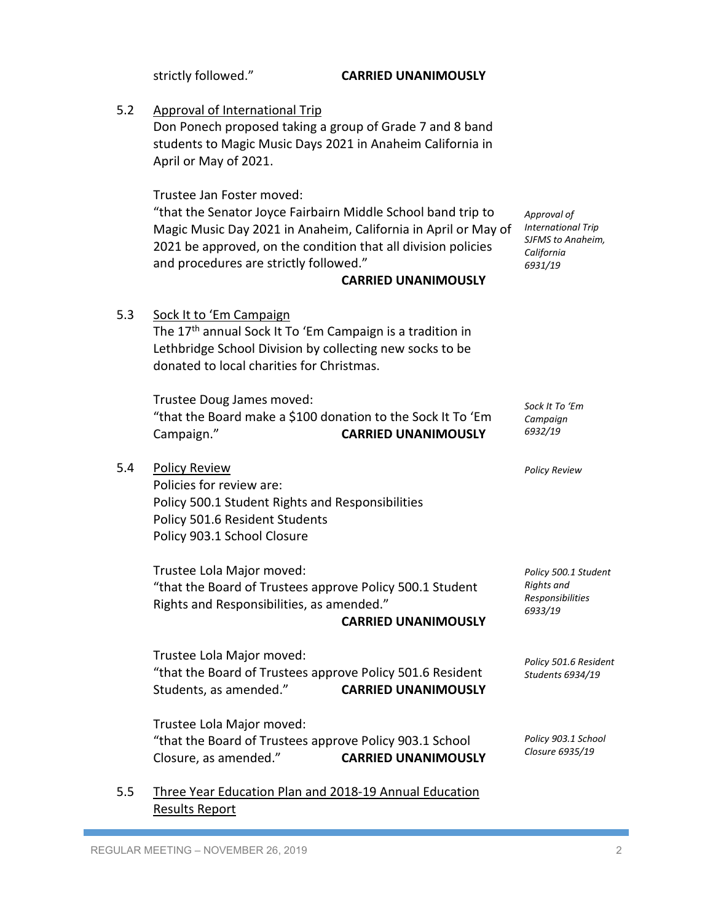strictly followed." **CARRIED UNANIMOUSLY** 5.2 Approval of International Trip Don Ponech proposed taking a group of Grade 7 and 8 band students to Magic Music Days 2021 in Anaheim California in April or May of 2021. Trustee Jan Foster moved: "that the Senator Joyce Fairbairn Middle School band trip to Magic Music Day 2021 in Anaheim, California in April or May of 2021 be approved, on the condition that all division policies and procedures are strictly followed." **CARRIED UNANIMOUSLY** 5.3 Sock It to 'Em Campaign The 17<sup>th</sup> annual Sock It To 'Em Campaign is a tradition in Lethbridge School Division by collecting new socks to be donated to local charities for Christmas. Trustee Doug James moved: "that the Board make a \$100 donation to the Sock It To 'Em Campaign." **CARRIED UNANIMOUSLY** 5.4 Policy Review Policies for review are: Policy 500.1 Student Rights and Responsibilities Policy 501.6 Resident Students Policy 903.1 School Closure Trustee Lola Major moved: "that the Board of Trustees approve Policy 500.1 Student Rights and Responsibilities, as amended." **CARRIED UNANIMOUSLY** Trustee Lola Major moved: "that the Board of Trustees approve Policy 501.6 Resident Students, as amended." **CARRIED UNANIMOUSLY** Trustee Lola Major moved: "that the Board of Trustees approve Policy 903.1 School Closure, as amended." **CARRIED UNANIMOUSLY** 5.5 Three Year Education Plan and 2018-19 Annual Education Results Report *Approval of International Trip SJFMS to Anaheim, California 6931/19 Sock It To 'Em Campaign 6932/19 Policy Review Policy 500.1 Student Rights and Responsibilities 6933/19 Policy 501.6 Resident Students 6934/19 Policy 903.1 School Closure 6935/19*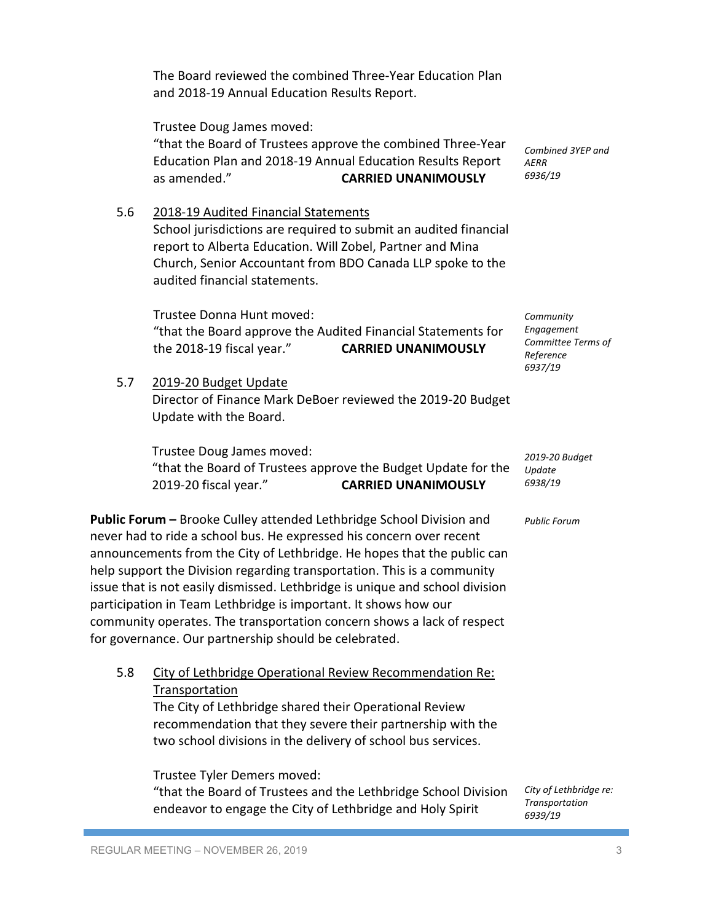|     | The Board reviewed the combined Three-Year Education Plan<br>and 2018-19 Annual Education Results Report.                                                                                                                                                                                                                                                                                                           |                                                                       |
|-----|---------------------------------------------------------------------------------------------------------------------------------------------------------------------------------------------------------------------------------------------------------------------------------------------------------------------------------------------------------------------------------------------------------------------|-----------------------------------------------------------------------|
|     | Trustee Doug James moved:<br>"that the Board of Trustees approve the combined Three-Year<br>Education Plan and 2018-19 Annual Education Results Report<br>as amended."<br><b>CARRIED UNANIMOUSLY</b>                                                                                                                                                                                                                | Combined 3YEP and<br><b>AERR</b><br>6936/19                           |
| 5.6 | 2018-19 Audited Financial Statements<br>School jurisdictions are required to submit an audited financial<br>report to Alberta Education. Will Zobel, Partner and Mina<br>Church, Senior Accountant from BDO Canada LLP spoke to the<br>audited financial statements.                                                                                                                                                |                                                                       |
|     | Trustee Donna Hunt moved:<br>"that the Board approve the Audited Financial Statements for<br>the 2018-19 fiscal year."<br><b>CARRIED UNANIMOUSLY</b>                                                                                                                                                                                                                                                                | Community<br>Engagement<br>Committee Terms of<br>Reference<br>6937/19 |
| 5.7 | 2019-20 Budget Update<br>Director of Finance Mark DeBoer reviewed the 2019-20 Budget<br>Update with the Board.                                                                                                                                                                                                                                                                                                      |                                                                       |
|     | Trustee Doug James moved:<br>"that the Board of Trustees approve the Budget Update for the<br>2019-20 fiscal year."<br><b>CARRIED UNANIMOUSLY</b>                                                                                                                                                                                                                                                                   | 2019-20 Budget<br>Update<br>6938/19                                   |
|     | Public Forum - Brooke Culley attended Lethbridge School Division and<br>never had to ride a school bus. He expressed his concern over recent<br>announcements from the City of Lethbridge. He hopes that the public can<br>help support the Division regarding transportation. This is a community<br>ومتحتر بتلول المسوامس امسم المربوب وتستريح ومواجئهما والمسار المسمون ويستلم وبالتجميع للمرسون للموالي والرومة | <b>Public Forum</b>                                                   |

issue that is not easily dismissed. Lethbridge is unique and school division participation in Team Lethbridge is important. It shows how our community operates. The transportation concern shows a lack of respect for governance. Our partnership should be celebrated.

5.8 City of Lethbridge Operational Review Recommendation Re: Transportation The City of Lethbridge shared their Operational Review

recommendation that they severe their partnership with the two school divisions in the delivery of school bus services.

Trustee Tyler Demers moved: "that the Board of Trustees and the Lethbridge School Division endeavor to engage the City of Lethbridge and Holy Spirit

*City of Lethbridge re: Transportation 6939/19*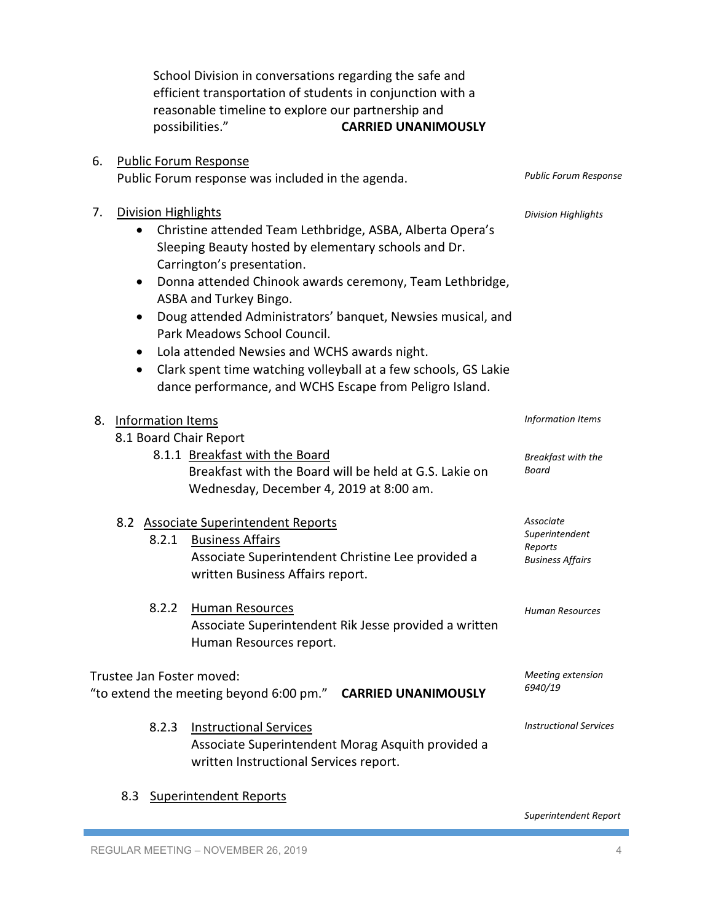|                                                                                          |                                                                                | School Division in conversations regarding the safe and<br>efficient transportation of students in conjunction with a<br>reasonable timeline to explore our partnership and<br>possibilities."<br><b>CARRIED UNANIMOUSLY</b>                                                                                                                                                                                                                                                                                       |                                                                   |
|------------------------------------------------------------------------------------------|--------------------------------------------------------------------------------|--------------------------------------------------------------------------------------------------------------------------------------------------------------------------------------------------------------------------------------------------------------------------------------------------------------------------------------------------------------------------------------------------------------------------------------------------------------------------------------------------------------------|-------------------------------------------------------------------|
| 6.                                                                                       | <b>Public Forum Response</b>                                                   | Public Forum response was included in the agenda.                                                                                                                                                                                                                                                                                                                                                                                                                                                                  | <b>Public Forum Response</b>                                      |
| 7.                                                                                       | <b>Division Highlights</b><br>$\bullet$<br>$\bullet$<br>$\bullet$<br>$\bullet$ | Christine attended Team Lethbridge, ASBA, Alberta Opera's<br>Sleeping Beauty hosted by elementary schools and Dr.<br>Carrington's presentation.<br>Donna attended Chinook awards ceremony, Team Lethbridge,<br>ASBA and Turkey Bingo.<br>Doug attended Administrators' banquet, Newsies musical, and<br>Park Meadows School Council.<br>Lola attended Newsies and WCHS awards night.<br>Clark spent time watching volleyball at a few schools, GS Lakie<br>dance performance, and WCHS Escape from Peligro Island. | <b>Division Highlights</b>                                        |
| 8.                                                                                       | Information Items<br>8.1 Board Chair Report                                    | 8.1.1 Breakfast with the Board<br>Breakfast with the Board will be held at G.S. Lakie on<br>Wednesday, December 4, 2019 at 8:00 am.                                                                                                                                                                                                                                                                                                                                                                                | Information Items<br>Breakfast with the<br>Board                  |
|                                                                                          | 8.2.1                                                                          | 8.2 Associate Superintendent Reports<br><b>Business Affairs</b><br>Associate Superintendent Christine Lee provided a<br>written Business Affairs report.                                                                                                                                                                                                                                                                                                                                                           | Associate<br>Superintendent<br>Reports<br><b>Business Affairs</b> |
|                                                                                          | 8.2.2                                                                          | <b>Human Resources</b><br>Associate Superintendent Rik Jesse provided a written<br>Human Resources report.                                                                                                                                                                                                                                                                                                                                                                                                         | Human Resources                                                   |
| Trustee Jan Foster moved:<br>"to extend the meeting beyond 6:00 pm." CARRIED UNANIMOUSLY |                                                                                | Meeting extension<br>6940/19                                                                                                                                                                                                                                                                                                                                                                                                                                                                                       |                                                                   |
|                                                                                          | 8.2.3                                                                          | <b>Instructional Services</b><br>Associate Superintendent Morag Asquith provided a<br>written Instructional Services report.                                                                                                                                                                                                                                                                                                                                                                                       | <b>Instructional Services</b>                                     |

8.3 Superintendent Reports

*Superintendent Report*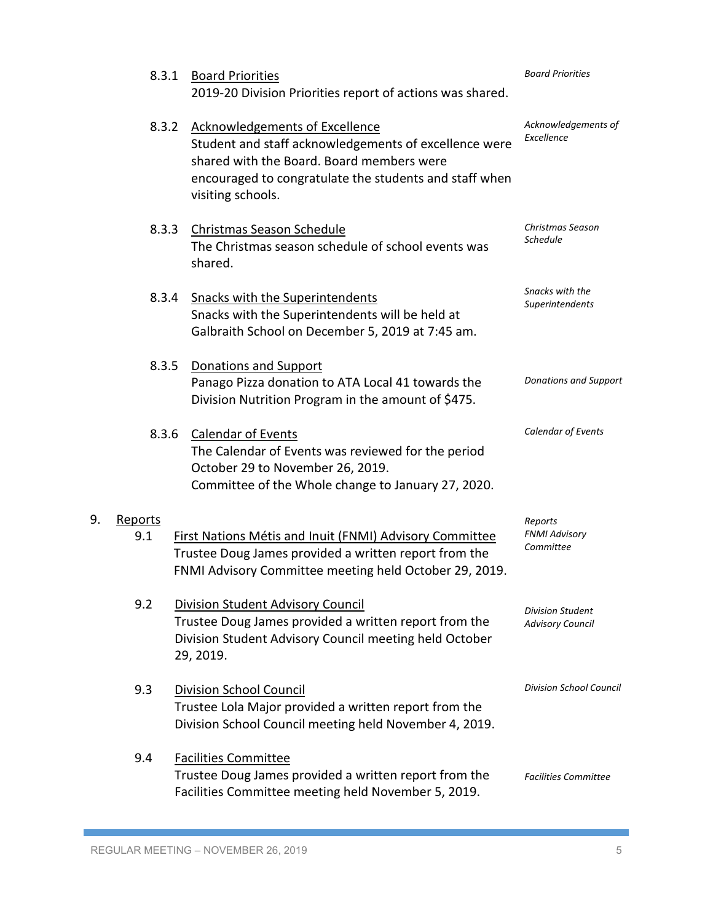|    | 8.3.1          | <b>Board Priorities</b><br>2019-20 Division Priorities report of actions was shared.                                                                                                                                       | <b>Board Priorities</b>                      |
|----|----------------|----------------------------------------------------------------------------------------------------------------------------------------------------------------------------------------------------------------------------|----------------------------------------------|
|    | 8.3.2          | <b>Acknowledgements of Excellence</b><br>Student and staff acknowledgements of excellence were<br>shared with the Board. Board members were<br>encouraged to congratulate the students and staff when<br>visiting schools. | Acknowledgements of<br>Excellence            |
|    | 8.3.3          | Christmas Season Schedule<br>The Christmas season schedule of school events was<br>shared.                                                                                                                                 | Christmas Season<br>Schedule                 |
|    | 8.3.4          | <b>Snacks with the Superintendents</b><br>Snacks with the Superintendents will be held at<br>Galbraith School on December 5, 2019 at 7:45 am.                                                                              | Snacks with the<br>Superintendents           |
|    | 8.3.5          | <b>Donations and Support</b><br>Panago Pizza donation to ATA Local 41 towards the<br>Division Nutrition Program in the amount of \$475.                                                                                    | <b>Donations and Support</b>                 |
|    | 8.3.6          | <b>Calendar of Events</b><br>The Calendar of Events was reviewed for the period<br>October 29 to November 26, 2019.<br>Committee of the Whole change to January 27, 2020.                                                  | Calendar of Events                           |
| 9. | Reports<br>9.1 | First Nations Métis and Inuit (FNMI) Advisory Committee<br>Trustee Doug James provided a written report from the<br>FNMI Advisory Committee meeting held October 29, 2019.                                                 | Reports<br><b>FNMI Advisory</b><br>Committee |
|    | 9.2            | Division Student Advisory Council<br>Trustee Doug James provided a written report from the<br>Division Student Advisory Council meeting held October<br>29, 2019.                                                          | Division Student<br><b>Advisory Council</b>  |
|    | 9.3            | <b>Division School Council</b><br>Trustee Lola Major provided a written report from the<br>Division School Council meeting held November 4, 2019.                                                                          | <b>Division School Council</b>               |
|    | 9.4            | <b>Facilities Committee</b><br>Trustee Doug James provided a written report from the<br>Facilities Committee meeting held November 5, 2019.                                                                                | <b>Facilities Committee</b>                  |